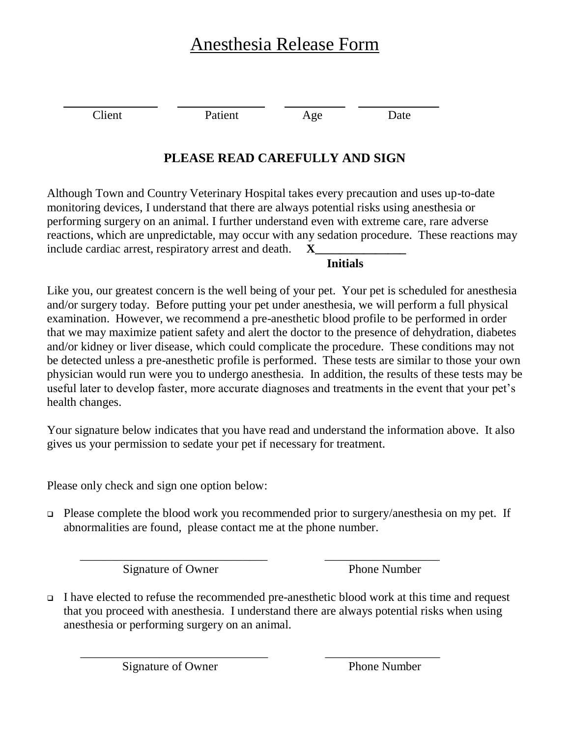## Anesthesia Release Form

Client Patient Age Date

## **PLEASE READ CAREFULLY AND SIGN**

Although Town and Country Veterinary Hospital takes every precaution and uses up-to-date monitoring devices, I understand that there are always potential risks using anesthesia or performing surgery on an animal. I further understand even with extreme care, rare adverse reactions, which are unpredictable, may occur with any sedation procedure. These reactions may include cardiac arrest, respiratory arrest and death. **X** 

## **Initials**

Like you, our greatest concern is the well being of your pet. Your pet is scheduled for anesthesia and/or surgery today. Before putting your pet under anesthesia, we will perform a full physical examination. However, we recommend a pre-anesthetic blood profile to be performed in order that we may maximize patient safety and alert the doctor to the presence of dehydration, diabetes and/or kidney or liver disease, which could complicate the procedure. These conditions may not be detected unless a pre-anesthetic profile is performed. These tests are similar to those your own physician would run were you to undergo anesthesia. In addition, the results of these tests may be useful later to develop faster, more accurate diagnoses and treatments in the event that your pet's health changes.

Your signature below indicates that you have read and understand the information above. It also gives us your permission to sedate your pet if necessary for treatment.

Please only check and sign one option below:

 $\Box$  Please complete the blood work you recommended prior to surgery/anesthesia on my pet. If abnormalities are found, please contact me at the phone number.

 \_\_\_\_\_\_\_\_\_\_\_\_\_\_\_\_\_\_\_\_\_\_\_\_\_\_\_\_\_\_\_ \_\_\_\_\_\_\_\_\_\_\_\_\_\_\_\_\_\_\_ Signature of Owner Phone Number

 I have elected to refuse the recommended pre-anesthetic blood work at this time and request that you proceed with anesthesia. I understand there are always potential risks when using anesthesia or performing surgery on an animal.

\_\_\_\_\_\_\_\_\_\_\_\_\_\_\_\_\_\_\_\_\_\_\_\_\_\_\_\_\_\_\_ \_\_\_\_\_\_\_\_\_\_\_\_\_\_\_\_\_\_\_

Signature of Owner Phone Number